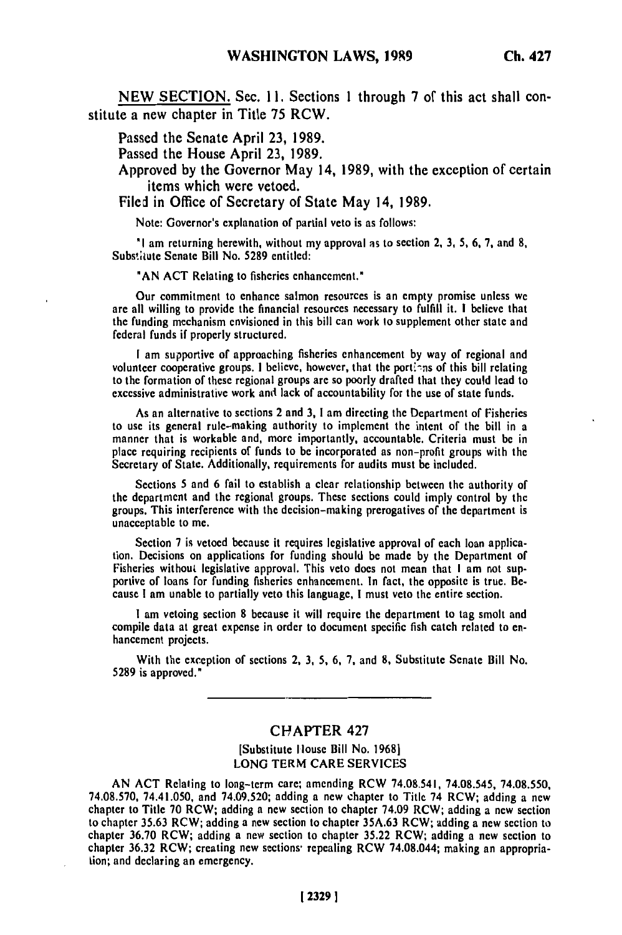**NEW** SECTION. Sec. **11.** Sections **1** through **7** of this act shall constitute a new chapter in Title **75** RCW.

Passed the Senate April **23, 1989.**

Passed the House April **23, 1989.**

Approved **by** the Governor May 14, **1989,** with the exception of certain items which were vetoed.

Filed in Office of Secretary of State May 14, **1989.**

Note: Governor's explanation of partial veto is as follows:

**"I** am returning herewith, without my approval **as** to section 2, **3, 5, 6, 7,** and **8,** Substitute Senate Bill No. **5289** entitled:

**"AN ACT** Relating to fisheries enhancement."

Our commitment to enhance salmon resources is an empty promise unless we are all willing to provide the financial resources necessary to fulfill it. **I** believe that are all willing to provide the financial resources necessary to fulfill it. I believe that the funding mechanism envisioned in this bill can work to supplement other state and federal funds if properly structured.

**I** am supportive of approaching fisheries enhancement **by** way of regional and volunteer cooperative groups. **I** believe, however, that the **port-ns** of this bill relating volunteer cooperative groups. I believe, however, that the portions of this bill relating to the formation of these regional groups are so poorly drafted that they could lead to excessive administrative work and lack of accountability for the use of state funds.

As an alternative to sections 2 and **3, I** am directing the Department of Fisheries to use its general rule-making authority to implement the intent of **the** bill in a manner that is workable and, more importantly, accountable. Criteria must **be** in manner that is workable and, more importantly, accountable. Criteria must be in place requiring recipients of funds to be incorporated as non-profit groups with the Secretary of State. Additionally, requirements for audits must be included.

Sections **5** and **6** fail to establish a clear relationship between the authority of the decidions 5 and 6 fail to establish a clear relationship between the authority of the department and the regional groups. These sections could imply control by the groups. This interference with the decision-making prerogatives of the department is unacceptable to me.

Section **7** is vetoed because it requires legislative approval of each loan applica tion. Decisions on applications for funding should be made **by** the Department of Fisheries without legislative approval. This veto does not mean that I am not supportive of loans for funding fisheries enhancement. In fact, the opposite is true. Be-<br>cause I am unable to partially veto this language, I must veto the entire section.

**I** am vetoing section **8** because it will require the department to tag smolt and compile data at great expense in order to document specific fish catch related to **en** tomphe uata at gre

With the exception of sections 2, **3, 5, 6, 7,** and **8,** Substitute Senate Bill No. **5289 With the exc** 

#### CHAPTER 427

[Substitute Ilouse Bill No. **19681 LONG** TERM CARE SERVICES

**AN ACT** Relating to long-term care; amending RCW 74.08.541, 74.08.545, **74.08.550, 74.08.541,** *74.08.543, 74.08.550*<br>74.08.570, **74.41.050, and 74.00.520; adding a new chapter to Title 74 ROW; additional** 74.08.570, 74.41.050, and 74.09.520; adding a new chapter to Title 74 RCW; adding a new chapter to Title 70 RCW; adding a new section to chapter 74.09 RCW; adding a new section to chapter 35.63 RCW; adding a new section to chapter 35A.63 RCW; adding a new section to chapter 36.70 RCW; adding a new section to chapter 35.22 RCW; adding a new section to chapter 36.32 RCW; creating new sections repealing RCW 74.08.044; making an appropria-<br>tion; and declaring an emergency.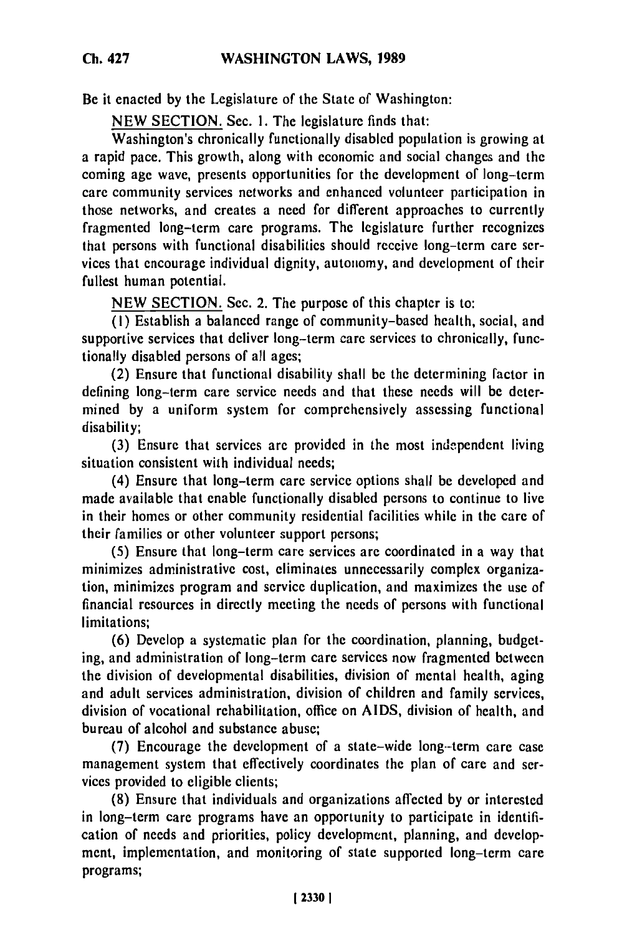Be it enacted **by** the Legislature of the State of Washington:

NEW SECTION. Sec. I. The legislature finds that:

Washington's chronically functionally disabled population is growing at a rapid pace. This growth, along with economic and social changes and the coming age wave, presents opportunities for the development of long-term care community services networks and enhanced volunteer participation in those networks, and creates a need for different approaches to currently fragmented long-term care programs. The legislature further recognizes that persons with functional disabilities should receive long-term care services that encourage individual dignity, autonomy, and development of their fullest human potential.

NEW SECTION. Sec. 2. The purpose of this chapter is to:

**(1)** Establish a balanced range of community-based health, social, and supportive services that deliver long-term care services to chronically, functionally disabled persons of all ages;

(2) Ensure that functional disability shall be the determining factor in defining long-term care service needs and that these needs will be determined by a uniform system for comprehensively assessing functional disability;

(3) Ensure that services are provided in the most independent living situation consistent with individual needs;

(4) Ensure that long-term care service options shall be developed and made available that enable functionally disabled persons to continue to live in their homes or other community residential facilities while in the care of their families or other volunteer support persons;

(5) Ensure that long-term care services are coordinated in a way that minimizes administrative cost, eliminates unnecessarily complex organization, minimizes program and service duplication, and maximizes the use of financial resources in directly meeting the needs of persons with functional limitations;

**(6)** Develop a systematic plan for the coordination, planning, budgeting, and administration of long-term care services now fragmented between the division of developmental disabilities, division of mental health, aging and adult services administration, division of children and family services, division of vocational rehabilitation, office on AIDS, division of health, and bureau of alcohol and substance abuse;

(7) Encourage the development of a state-wide long--term care case management system that effectively coordinates the plan of care and services provided to eligible clients;

(8) Ensure that individuals and organizations affected by or interested in long-term care programs have an opportunity to participate in identification of needs and priorities, policy development, planning, and development, implementation, and monitoring of state supported long-term care programs;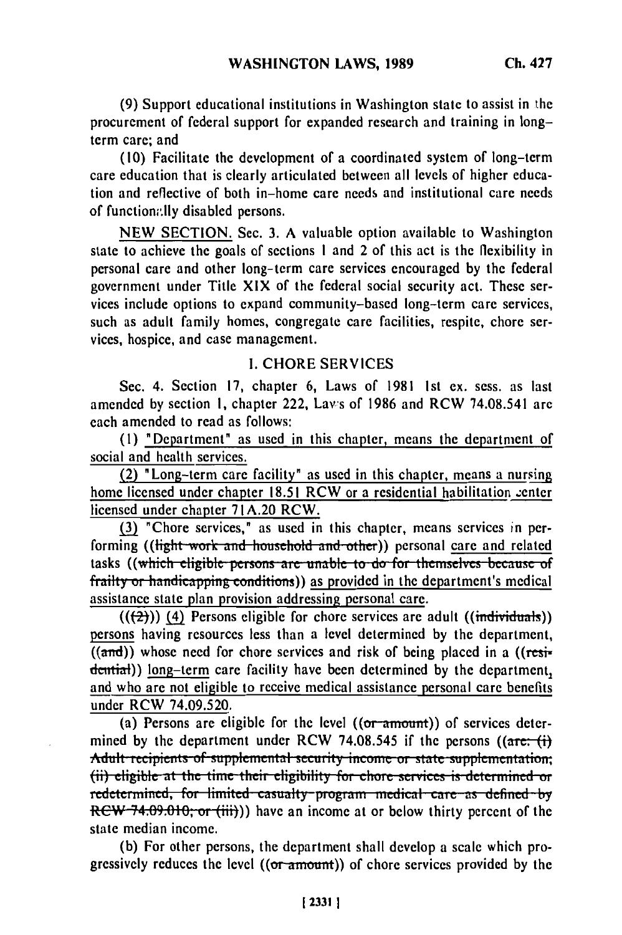**(9)** Support educational institutions in Washington state to assist in the procurement of federal support for expanded research and training in longterm care; and

(10) Facilitate the development of a coordinated system of long-term care education that is clearly articulated between all levels of higher education and reflective of both in-home care needs and institutional care needs of function;'.lly disabled persons.

NEW SECTION. Sec. 3. A valuable option available to Washington state to achieve the goals of sections **I** and 2 of this act is the flexibility in personal care and other long-term care services encouraged by the federal government under Title XIX of the federal social security act. These services include options to expand community-based long-term care services, such as adult family homes, congregate care facilities, respite, chore services, hospice, and case management.

#### I. CHORE SERVICES

Sec. 4. Section 17, chapter 6, Laws of 1981 1st ex. sess. as last amended by section **1,** chapter 222, Laws of 1986 and RCW 74.08.541 are each amended to read as follows:

(1) "Department" as used in this chapter, means the department of social and health services.

(2) "Long-term care facility" as used in this chapter, means a nursing home licensed under chapter 18.51 RCW or a residential habilitation center licensed under chapter 71A.20 RCW.

**(3)** "Chore services," as used in this chapter, means services *in* performing ((light work and household and other)) personal care and related tasks ((which eligible persons are unable to do for themselves because of frailty or handicapping conditions)) as provided in the department's medical assistance state plan provision addressing personal care.

(((<del>2)</del>)) (4) Persons eligible for chore services are adult ((individuals)) persons having resources less than a level determined by the department,  $\overline{(\text{and})}$  whose need for chore services and risk of being placed in a  $(\text{resi-})$ dential)) long-term care facility have been determined by the department, and who are not eligible to receive medical assistance personal care benefits under RCW 74.09.520.

(a) Persons are eligible for the level  $((or-amount))$  of services determined by the department under RCW 74.08.545 if the persons  $((\text{arc} \cdot \text{f}))$ Adult recipients of supplemental security income or state supplementation; (ii) eligible at the time their eligibility for chore services is determined or redstantined for limited casualty process in matrix and the original **redetermined, for limited casualty-program medical care as defined by RCW 74.09.010; or (iii)))** have an income at or below thirty percent of the state median income.

(b) For other persons, the department shall develop a scale which progressively reduces the level  $((or amount))$  of chore services provided by the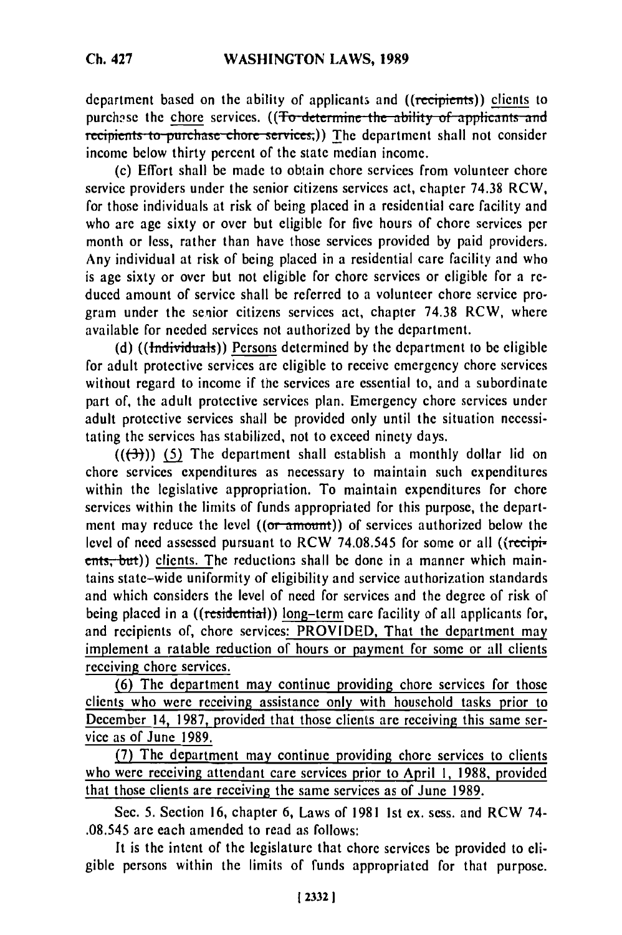department based on the ability of applicants and ((recipients)) clients to purchase the chore services. ((To determine the ability of applicants and recipients to purchase chore services;)) The department shall not consider income below thirty percent of the state median income.

(c) Effort shall be made to obtain chore services from volunteer chore service providers under the senior citizens services act, chapter 74.38 RCW, for those individuals at risk of being placed in a residential care facility and who are age sixty or over but eligible for five hours of chore services per month or less, rather than have those services provided by paid providers, Any individual at risk of being placed in a residential care facility and who is age sixty or over but not eligible for chore services or eligible for a reduced amount of service shall be referred to a volunteer chore service program under the senior citizens services act, chapter 74.38 RCW, where available for needed services not authorized by the department.

**(d)** ((Individiuals)) Persons determined by the department to be eligible for adult protective services are eligible to receive emergency chore services without regard to income if the services are essential to, and a subordinate part of, the adult protective services plan. Emergency chore services under adult protective services shall be provided only until the situation necessitating the services has stabilized, not to exceed ninety days.

 $((\rightarrow{(\rightarrow)})$  (5) The department shall establish a monthly dollar lid on chore services expenditures as necessary to maintain such expenditures within the legislative appropriation. To maintain expenditures for chore services within the limits of funds appropriated for this purpose, the department may reduce the level  $((or amount))$  of services authorized below the level of need assessed pursuant to RCW 74.08.545 for some or all ((recipients, but)) clients. The reductions shall be done in a manner which maintains state-wide uniformity of eligibility and service authorization standards and which considers the level of need for services and the degree of risk of being placed in a ((residential)) long-term care facility of all applicants for, and recipients of, chore services: PROVIDED, That the department may implement a ratable reduction of hours or payment for some or all clients receiving chore services.

(6) The department may continue providing chore services for those clients who were receiving assistance only with household tasks prior to December 14, 1987, provided that those clients are receiving this same service as of June 1989.

(7) The department may continue providing chore services to clients who were receiving attendant care services prior to April **1,** 1988, provided that those clients are receiving the same services as of June 1989.

Sec. 5. Section 16, chapter 6, Laws of 1981 ist ex. sess. and RCW 74- .08.545 are each amended to read as follows:

It is the intent of the legislature that chore services be provided to eligible persons within the limits of funds appropriated for that purpose.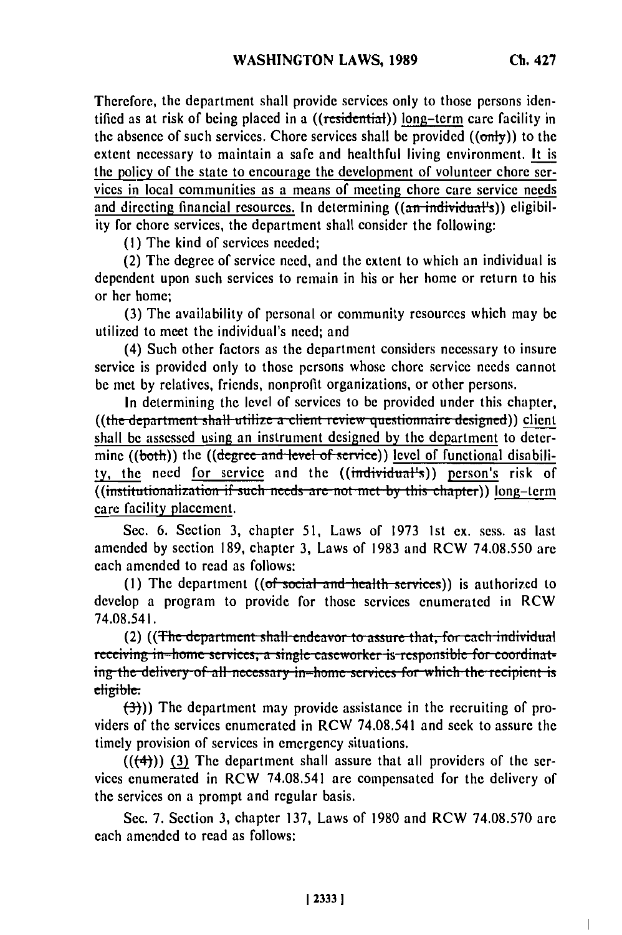$\overline{\phantom{a}}$ 

Therefore, the department shall provide services only to those persons identified as at risk of being placed in a ((residential)) long-term care facility in the absence of such services. Chore services shall be provided  $((\text{only}))$  to the extent necessary to maintain a safe and healthful living environment. It is the policy of the state to encourage the development of volunteer chore services in local communities as a means of meeting chore care service needs and directing financial resources. In determining ((an individual's)) eligibility for chore services, the department shall consider the following:

(I) The kind of services needed;

(2) The degree of service need, and the extent to which an individual is dependent upon such services to remain in his or her home or return to his or her home;

**(3)** The availability of personal or community resources which may be utilized to meet the individual's need; and

(4) Such other factors as the department considers necessary to insure service is provided only to those persons whose chore service needs cannot be met by relatives, friends, nonprofit organizations, or other persons.

In determining the level of services to be provided under this chapter, ((the department shall utilize a client review questionnaire designed)) client shall be assessed using an instrument designed by the department to determine ((both)) the ((degree and level of service)) level of functional disability, the need for service and the ((individual's)) person's risk of **((institutionalization if such needs are not met by this chapter)) long-term** care facility placement.

Sec. 6. Section 3, chapter 51, Laws of 1973 Ist ex. sess. as last amended by section 189, chapter 3, Laws of 1983 and RCW 74.08.550 are each amended to read as follows:

(1) The department  $((of social and health services))$  is authorized to develop a program to provide for those services enumerated in RCW 74.08.541.

(2) ((The department shall endeavor to assure that, for each individual **receiving in-home services, a single caseworker is responsible for coordinat**ing the delivery of all necessary in-home services for which the recipient is eligible.

*(3)))* The department may provide assistance in the recruiting of providers of the services enumerated in RCW 74.08.541 and seek to assure the timely provision of services in emergency situations.

 $((+4))$  (3) The department shall assure that all providers of the services enumerated in RCW 74.08.541 are compensated for the delivery of the services on a prompt and regular basis.

Sec. 7. Section 3, chapter 137, Laws of 1980 and RCW 74.08.570 are each amended to read as follows: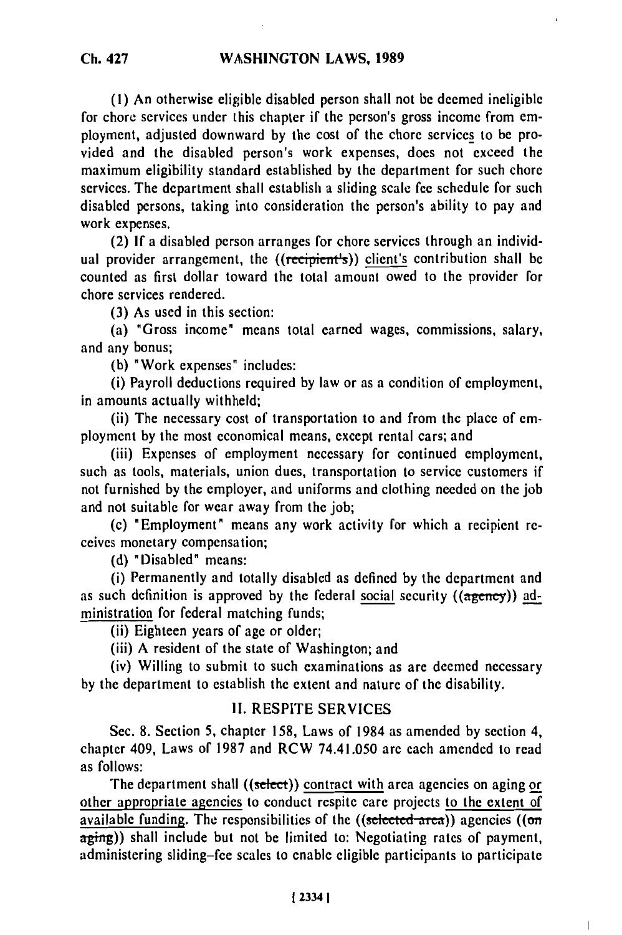**(1)** An otherwise eligible disabled person shall not be deemed ineligible for chore services under this chapter if the person's gross income from employment, adjusted downward by the cost of the chore services to be provided and the disabled person's work expenses, does not exceed the maximum eligibility standard established by the department for such chore services. The department shall establish a sliding scale fee schedule for such disabled persons, taking into consideration the person's ability to pay and work expenses.

(2) If a disabled person arranges for chore services through an individual provider arrangement, the ((recipient's)) client's contribution shall be counted as first dollar toward the total amount owed to the provider for chore services rendered.

(3) As used in this section:

(a) "Gross income" means total earned wages, commissions, salary, and any bonus;

(b) "Work expenses" includes:

(i) Payroll deductions required by law or as a condition of employment, in amounts actually withheld;

(ii) The necessary cost of transportation to and from the place of employment by the most economical means, except rental cars; and

(iii) Expenses of employment necessary for continued employment, such as tools, materials, union dues, transportation to service customers if not furnished by the employer, and uniforms and clothing needed on the job and not suitable for wear away from the job;

(c) "Employment" means any work activity for which a recipient receives monetary compensation;

**(d)** "Disabled" means:

(i) Permanently and totally disabled as defined by the department and as such definition is approved by the federal social security  $((a<sub>gerrey</sub>))$  administration for federal matching funds;

(ii) Eighteen years of age or older;

(iii) A resident of the state of Washington; and

(iv) Willing to submit to such examinations as are deemed necessary by the department to establish the extent and nature of the disability.

## II. RESPITE SERVICES

Sec. 8. Section 5, chapter 158, Laws of 1984 as amended by section 4, chapter 409, Laws of 1987 and RCW 74.41.050 are each amended to read as follows:

The department shall ((select)) contract with area agencies on aging or other appropriate agencies to conduct respite care projects to the extent of available funding. The responsibilities of the  $((selected area))$  agencies  $((on$ aging)) shall include but not be limited to: Negotiating rates of payment, administering sliding-fee scales to enable eligible participants to participate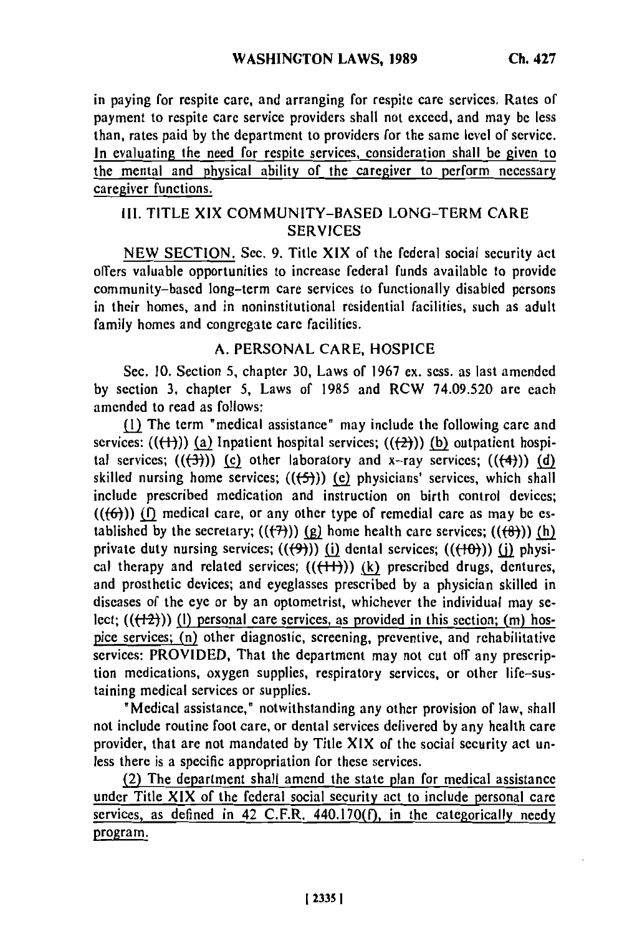in paying for respite care, and arranging for respite care services. Rates of payment to respite care service providers shall not exceed, and may be less than, rates paid by the department to providers for the same level of service. In evaluating the need for respite services, consideration shall be given to the mental and physical ability of the caregiver to perform necessary caregiver functions.

## III. TITLE XIX COMMUNITY-BASED LONG-TERM CARE **SERVICES**

NEW SECTION. Sec. 9. Title XIX of the federal social security act offers valuable opportunities to increase federal funds available to provide community-based long-term care services to functionally disabled persons in their homes, and in noninstitutional residential facilities, such as adult family homes and congregate care facilities.

## A. PERSONAL CARE, HOSPICE

Sec. 10. Section 5, chapter 30, Laws of 1967 ex. sess. as last amended by section 3, chapter 5, Laws of 1985 and RCW 74.09.520 are each amended to read as follows:

(1) The term "medical assistance" may include the following care and services:  $((\text{(+)}))$  (a) Inpatient hospital services;  $((\text{(+)}))$  (b) outpatient hospital services;  $((\overline{(4)}))$  (c) other laboratory and x-ray services;  $((\overline{(4)}))$  (d) skilled nursing home services;  $((f-5))$  (c) physicians' services, which shall include prescribed medication and instruction on birth control devices;  $((\{6\}))$  (f) medical care, or any other type of remedial care as may be established by the secretary;  $((\overline{(7)}))$  (g) home health care services;  $((\overline{(8)}))$  (h) private duty nursing services;  $((\theta)$ )) (i) dental services;  $((\theta))$  (i) physical therapy and related services;  $(((+)))$  (k) prescribed drugs, dentures, and prosthetic devices; and eyeglasses prescribed by a physician skilled in diseases of the eye or by an optometrist, whichever the individual may select;  $((+2))$  (l) personal care services, as provided in this section; (m) hospice services; (n) other diagnostic, screening, preventive, and rehabilitative services: PROVIDED, That the department may not cut off any prescription medications, oxygen supplies, respiratory services, or other life-sustaining medical services or supplies.

"Medical assistance," notwithstanding any other provision of law, shall not include routine foot care, or dental services delivered by any health care provider, that are not mandated by Title XIX of the social security act unless there is a specific appropriation for these services.

(2) The department shall amend the state plan for medical assistance under Title XIX of the federal social security act to include personal care services, as defined in 42 C.F.R. 440.170 $(f)$ , in the categorically needy program.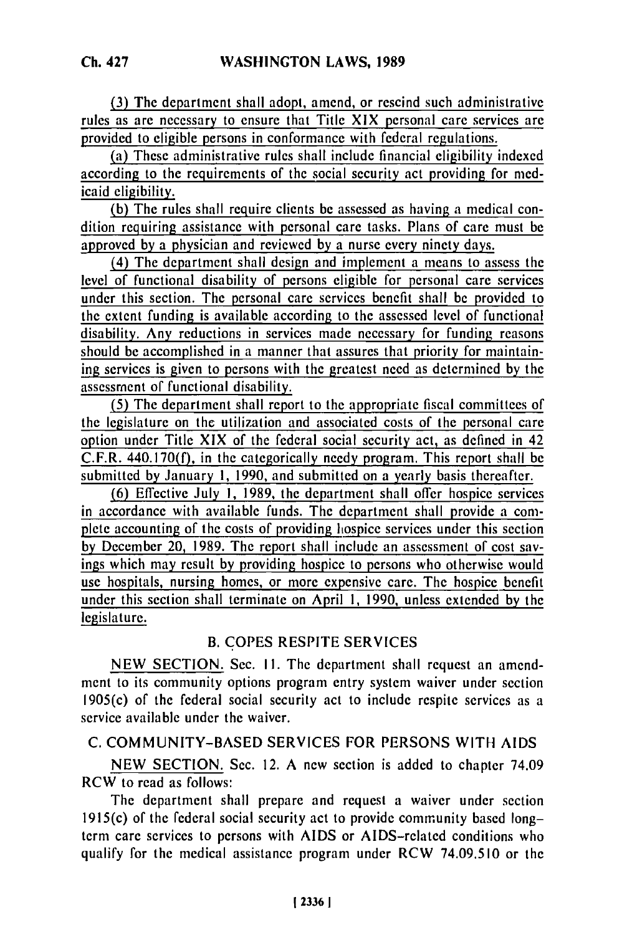**(3)** The department shall adopt, amend, or rescind such administrative rules as are necessary to ensure that Title XIX personal care services are provided to eligible persons in conformance with federal regulations.

(a) These administrative rules shall include financial eligibility indexed according to the requirements of the social security act providing for medicaid eligibility.

(b) The rules shall require clients be assessed as having a medical condition requiring assistance with personal care tasks. Plans of care must be approved by a physician and reviewed by a nurse every ninety days.

(4) The department shall design and implement a means to assess the level of functional disability of persons eligible for personal care services under this section. The personal care services benefit shall be provided to the extent funding is available according to the assessed level of functional disability. Any reductions in services made necessary for funding reasons should be accomplished in a manner that assures that priority for maintaining services is given to persons with the greatest need as determined by the assessment of functional disability.

(5) The department shall report to the appropriate fiscal committees of the legislature on the utilization and associated costs of the personal care option under Title XIX of the federal social security act, as defined in 42 C.F.R. 440.170(f), in the categorically needy program. This report shall be submitted by January 1, 1990, and submitted on a yearly basis thereafter.

**(6)** Effective July **1,** 1989, the department shall offer hospice services in accordance with available funds. The department shall provide a complete accounting of the costs of providing hospice services under this section by December 20, 1989. The report shall include an assessment of cost savings which may result by providing hospice to persons who otherwise would use hospitals, nursing homes, or more expensive care. The hospice benefit under this section shall terminate on April 1, 1990, unless extended by the legislature.

# B. COPES RESPITE SERVICES

NEW SECTION. Sec. II. The department shall request an amendment to its community options program entry system waiver under section 1905(c) of the federal social security act to include respite services as a service available under the waiver.

# C. COMMUNITY-BASED SERVICES FOR **PERSONS** WITH **AIDS**

NEW SECTION. Sec. 12. A new section is added to chapter 74.09 RCW to read as follows:

The department shall prepare and request a waiver under section 1915(c) of the federal social security act to provide community based longterm care services to persons with AIDS or AIDS-related conditions who qualify for the medical assistance program under RCW 74.09.510 or the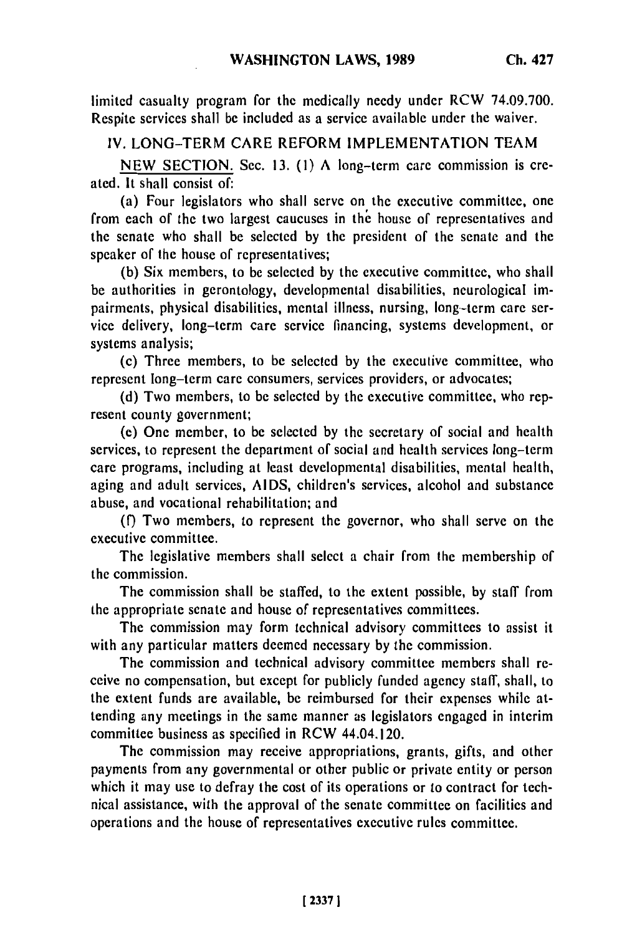limited casualty program for the medically needy under RCW 74.09.700. Respite services shall be included as a service available under the waiver.

IV. LONG-TERM CARE REFORM IMPLEMENTATION TEAM

NEW SECTION. Sec. 13. (1) A long-term care commission is created. It shall consist of:

(a) Four legislators who shall serve on the executive committee, one from each of the two largest caucuses in the house of representatives and the senate who shall be selected by the president of the senate and the speaker of the house of representatives;

(b) Six members, to be selected by the executive committee, who shall be authorities in gerontology, developmental disabilities, neurological impairments, physical disabilities, mental illness, nursing, long-term care service delivery, long-term care service financing, systems development, or systems analysis;

(c) Three members, to be selected by the executive committee, who represent long-term care consumers, services providers, or advocates;

(d) Two members, to be selected by the executive committee, who represent county government;

(e) One member, to be selected by the secretary of social and health services, to represent the department of social and health services long-term care programs, including at least developmental disabilities, mental health, aging and adult services, AIDS, children's services, alcohol and substance abuse, and vocational rehabilitation; and

**(f)** Two members, to represent the governor, who shall serve on the executive committee.

The legislative members shall select a chair from the membership of the commission.

The commission shall be staffed, to the extent possible, by staff from the appropriate senate and house of representatives committees.

The commission may form technical advisory committees to assist it with any particular matters deemed necessary by the commission.

The commission and technical advisory committee members shall receive no compensation, but except for publicly funded agency staff, shall, to the extent funds are available, be reimbursed for their expenses while attending any meetings in the same manner as legislators engaged in interim committee business as specified in RCW 44.04.120.

The commission may receive appropriations, grants, gifts, and other payments from any governmental or other public or private entity or person which it may use to defray the cost of its operations or to contract for technical assistance, with the approval of the senate committee on facilities and operations and the house of representatives executive rules committee.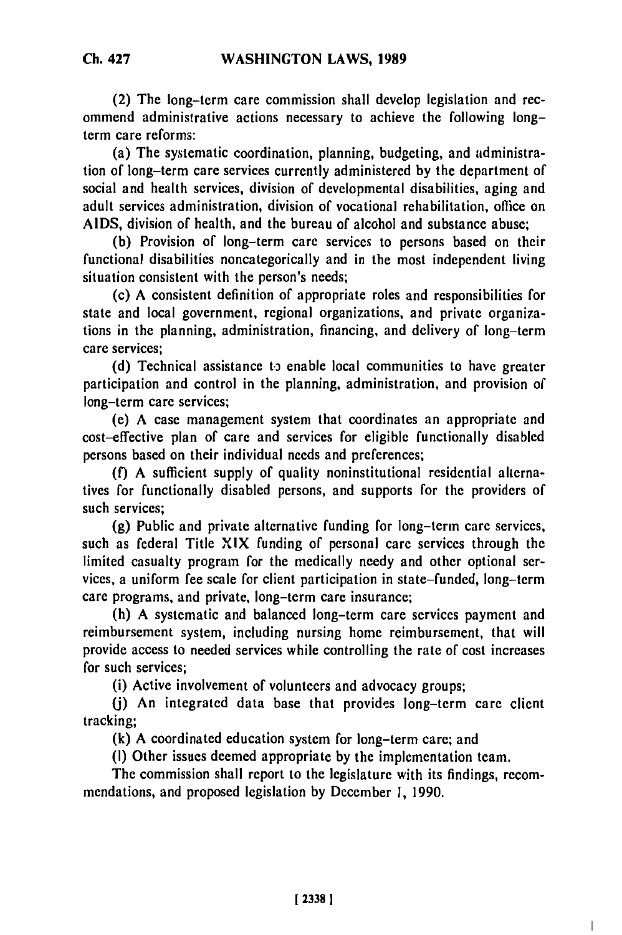(2) The long-term care commission shall develop legislation and recommend administrative actions necessary to achieve the following longterm care reforms:

(a) The systematic coordination, planning, budgeting, and administration of long-term care services currently administered by the department of social and health services, division of developmental disabilities, aging and adult services administration, division of vocational rehabilitation, office on AIDS, division of health, and the bureau of alcohol and substance abuse;

(b) Provision of long-term care services to persons based on their functional disabilities noncategorically and in the most independent living situation consistent with the person's needs;

(c) A consistent definition of appropriate roles and responsibilities for state and local government, regional organizations, and private organizations in the planning, administration, financing, and delivery of long-term care services;

(d) Technical assistance to enable local communities to have greater participation and control in the planning, administration, and provision of long-term care services;

(e) A case management system that coordinates an appropriate and cost-effective plan of care and services for eligible functionally disabled persons based on their individual needs and preferences;

**(f)** A sufficient supply of quality noninstitutional residential alternatives for functionally disabled persons, and supports for the providers of such services;

(g) Public and private alternative funding for long-term care services, such as federal Title XIX funding of personal care services through the limited casualty program for the medically needy and other optional services, a uniform fee scale for client participation in state-funded, long-term care programs, and private, long-term care insurance;

(h) A systematic and balanced long-term care services payment and reimbursement system, including nursing home reimbursement, that will provide access to needed services while controlling the rate of cost increases for such services;

(i) Active involvement of volunteers and advocacy groups;

**(j)** An integrated data base that provides long-term care client tracking;

**(k)** A coordinated education system for long-term care; and

(I) Other issues deemed appropriate by the implementation team.

The commission shall report to the legislature with its findings, recommendations, and proposed legislation by December 1, 1990.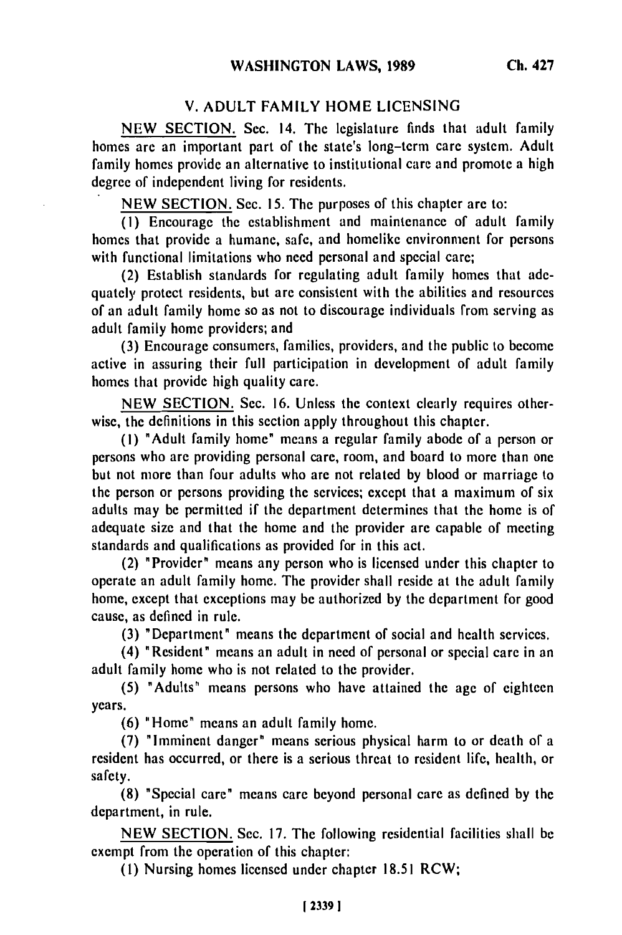## V. **ADULT** FAMILY HOME LICENSING

NEW SECTION. Sec. 14. The legislature finds that adult family homes are an important part of the state's long-term care system. Adult family homes provide an alternative to institutional care and promote a high degree of independent living for residents.

NEW SECTION. Sec. 15. The purposes of this chapter are to:

(1) Encourage the establishment and maintenance of adult family homes that provide a humane, safe, and homelike environment for persons with functional limitations who need personal and special care;

(2) Establish standards for regulating adult family homes that adequately protect residents, but are consistent with the abilities and resources of an adult family home so as not to discourage individuals from serving as adult family home providers; and

(3) Encourage consumers, families, providers, and the public to become active in assuring their full participation in development of adult family homes that provide high quality care.

NEW SECTION. Sec. 16. Unless the context clearly requires otherwise, the definitions in this section apply throughout this chapter.

(I) "Adult family home" means a regular family abode of a person or persons who are providing personal care, room, and board to more than one but not more than four adults who are not related by blood or marriage to the person or persons providing the services; except that a maximum of six adults may be permitted if the department determines that the home is of adequate size and that the home and the provider are capable of meeting standards and qualifications as provided for in this act.

(2) "Provider" means any person who is licensed under this chapter to operate an adult family home. The provider shall reside at the adult family home, except that exceptions may be authorized by the department for good cause, as defined in rule.

(3) "Department" means the department of social and health services.

(4) "Resident" means an adult in need of personal or special care in an adult family home who is not related to the provider.

(5) "Adults" means persons who have attained the age of eighteen years.

(6) "Home" means an adult family home.

(7) "Imminent danger" means serious physical harm to or death of a resident has occurred, or there is a serious threat to resident life, health, or safety.

(8) "Special care" means care beyond personal care as defined by the department, in rule.

NEW SECTION. Sec. 17. The following residential facilities shall be exempt from the operation of this chapter:

**(1)** Nursing homes licensed under chapter 18.51 RCW;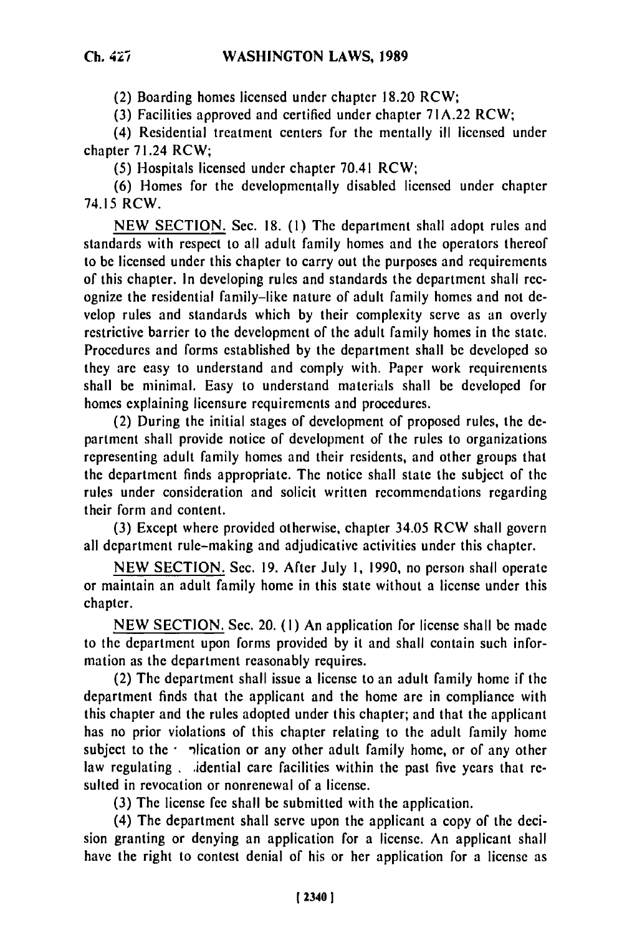(2) Boarding homes licensed under chapter 18.20 RCW;

(3) Facilities approved and certified under chapter 71A.22 RCW;

(4) Residential treatment centers for the mentally ill licensed under chapter 71.24 RCW;

(5) Hospitals licensed under chapter 70.41 RCW;

(6) Homes for the developmentally disabled licensed under chapter 74.15 RCW.

NEW SECTION. Sec. 18. (1) The department shall adopt rules and standards with respect to all adult family homes and the operators thereof to be licensed under this chapter to carry out the purposes and requirements of this chapter. In developing rules and standards the department shall recognize the residential family-like nature of adult family homes and not develop rules and standards which by their complexity serve as an overly restrictive barrier to the development of the adult family homes in the state. Procedures and forms established by the department shall be developed so they are easy to understand and comply with. Paper work requirements shall be minimal. Easy to understand materials shall be developed for homes explaining licensure requirements and procedures.

(2) During the initial stages of development of proposed rules, the department shall provide notice of development of the rules to organizations representing adult family homes and their residents, and other groups that the department finds appropriate. The notice shall state the subject of the rules under consideration and solicit written recommendations regarding their form and content.

**(3)** Except where provided otherwise, chapter 34.05 RCW shall govern all department rule-making and adjudicative activities under this chapter.

NEW SECTION. Sec. 19. After July 1, 1990, no person shall operate or maintain an adult family home in this state without a license under this chapter.

NEW SECTION. Sec. 20. **(1)** An application for license shall be made to the department upon forms provided by it and shall contain such information as the department reasonably requires.

(2) The department shall issue a license to an adult family home if the department finds that the applicant and the home are in compliance with this chapter and the rules adopted under this chapter; and that the applicant has no prior violations of this chapter relating to the adult family home subject to the *plication* or any other adult family home, or of any other law regulating . idential care facilities within the past five years that resulted in revocation or nonrenewal of a license.

**(3)** The license fee shall be submitted with the application.

(4) The department shall serve upon the applicant a copy of the decision granting or denying an application for a license. An applicant shall have the right to contest denial of his or her application for a license as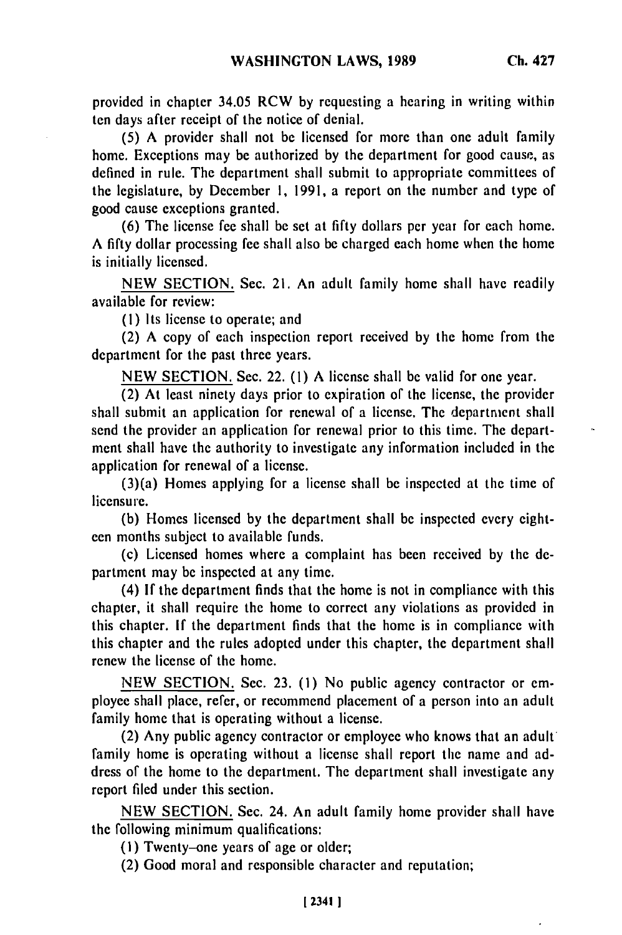provided in chapter 34.05 RCW **by** requesting a hearing in writing within ten days after receipt of the notice of denial.

**(5)** A provider shall not be licensed for more than one adult family home. Exceptions may be authorized by the department for good cause, as defined in rule. The department shall submit to appropriate committees of the legislature, by December I, 1991, a report on the number and type of good cause exceptions granted.

(6) The license fee shall be set at fifty dollars per year for each home. A fifty dollar processing fee shall also be charged each home when the home is initially licensed.

NEW SECTION. Sec. 21. An adult family home shall have readily available for review:

**(1)** Its license to operate; and

(2) A copy of each inspection report received by the home from the department for the past three years.

NEW SECTION. Sec. 22. (1) A license shall be valid for one year.

(2) At least ninety days prior to expiration of the license, the provider shall submit an application for renewal of a license. The department shall send the provider an application for renewal prior to this time. The department shall have the authority to investigate any information included in the application for renewal of a license.

(3)(a) Homes applying for a license shall be inspected at the time of licensure.

(b) Homes licensed by the department shall be inspected every eighteen months subject to available funds.

(c) Licensed homes where a complaint has been received by the **de**partment may be inspected at any time.

(4) **If** the department finds that the home is not in compliance with this chapter, it shall require the home to correct any violations as provided in this chapter. **If** the department finds that the home is in compliance with this chapter and the rules adopted under this chapter, the department shall renew the license of the home.

NEW SECTION. Sec. 23. **(1)** No public agency contractor or employee shall place, refer, or recommend placement of a person into an adult family home that is operating without a license.

(2) Any public agency contractor or employee who knows that an adult family home is operating without a license shall report the name and address of the home to the department. The department shall investigate any report filed under this section.

NEW SECTION. Sec. 24. An adult family home provider shall have the following minimum qualifications:

(I) Twenty-one years of age or older;

(2) Good moral and responsible character and reputation;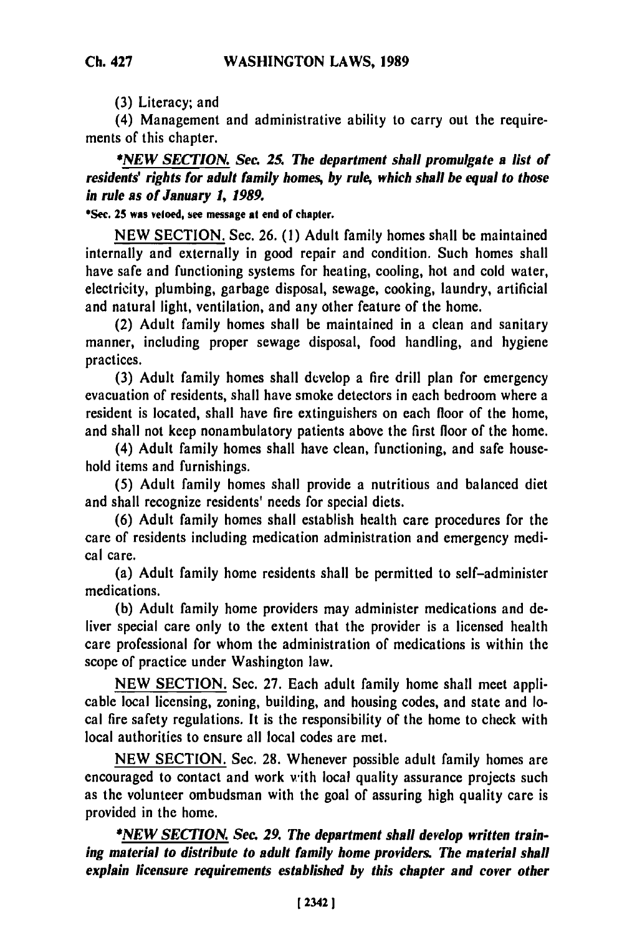**(3)** Literacy; and

(4) Management and administrative ability to carry out the requirements of this chapter.

*\*NEW SECTION. Sec. 25. The department shall promulgate a list of residents' rights for adult family homes, by rule, which shall be equal to those in rule as of January 1, 1989.*

# **\*Sec. 25 was vetoed, see message at end of chapter.**

**NEW SECTION.** Sec. **26. (1)** Adult family homes shall **be** maintained internally and externally in good repair and condition. Such homes shall have safe and functioning systems for heating, cooling, hot and cold water, electricity, plumbing, garbage disposal, sewage, cooking, laundry, artificial and natural light, ventilation, and any other feature of the home.

(2) Adult family homes shall be maintained in a clean and sanitary manner, including proper sewage disposal, food handling, and hygiene practices.

**(3)** Adult family homes shall develop a fire drill plan for emergency evacuation of residents, shall have smoke detectors in each bedroom where a resident is located, shall have fire extinguishers on each floor of the home, and shall not keep nonambulatory patients above the first floor of the home.

(4) Adult family homes shall have clean, functioning, and safe household items and furnishings.

**(5)** Adult family homes shall provide a nutritious and balanced diet and shall recognize residents' needs for special diets.

**(6)** Adult family homes shall establish health care procedures for the care of residents including medication administration and emergency medical care.

(a) Adult family home residents shall be permitted to self-administer medications.

**(b)** Adult family home providers may administer medications and deliver special care only to the extent that the provider is a licensed health care professional for whom the administration of medications is within the scope of practice under Washington law.

**NEW** SECTION. Sec. **27.** Each adult family home shall meet applicable local licensing, zoning, building, and housing codes, and state and local fire safety regulations. It is the responsibility of the home to check with local authorities to ensure all local codes are met.

**NEW** SECTION. Sec. 28. Whenever possible adult family homes are encouraged to contact and work with local quality assurance projects such as the volunteer ombudsman with the goal of assuring high quality care is provided in the home.

*\*NEW SECTION. See. 29. The department shall develop written training material to distribute to adult family home providers. The material shall explain licensure requirements established by this chapter and cover other*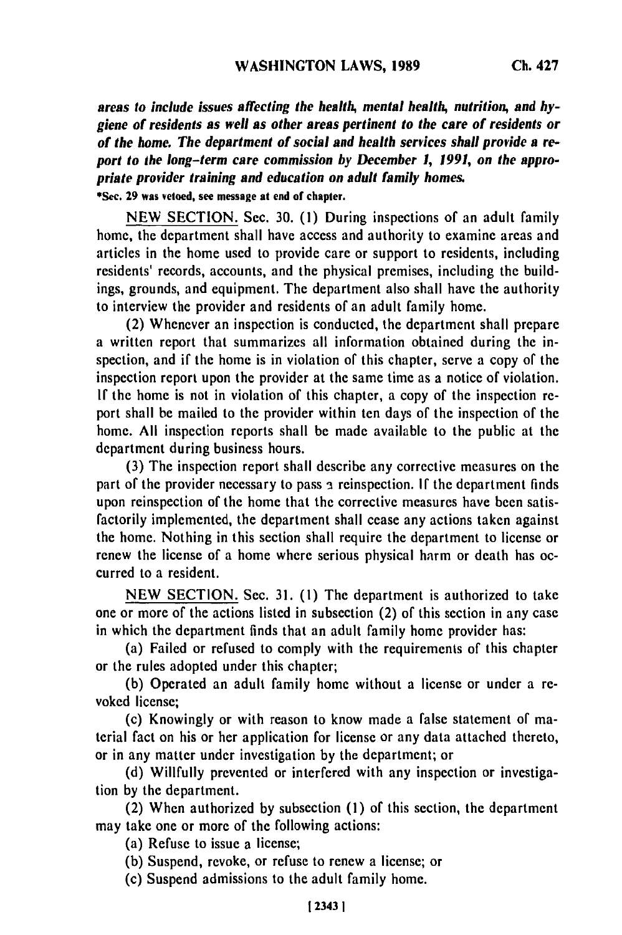*areas to include issues affecting the health, mental health, nutrition, and hygiene of residents as well as other areas pertinent to the care of residents or of the home. The department of social and health services shall provide a report to the long-term care commission by December 1, 1991, on the appropriate provider training and education on adult family homes.* **\*See. 29 was vetoed, see message at end of chapter.**

**NEW SECTION.** Sec. **30. (1)** During inspections of an adult family

home, the department shall have access and authority to examine areas and articles in the home used to provide care or support to residents, including residents' records, accounts, and the physical premises, including the buildings, grounds, and equipment. The department also shall have the authority to interview the provider and residents of an adult family home.

(2) Whenever an inspection is conducted, the department shall prepare a written report that summarizes all information obtained during the inspection, and if the home is in violation of this chapter, serve a copy of the inspection report upon the provider at the same time as a notice of violation. **If** the home is not in violation of this chapter, a copy of the inspection report shall be mailed to the provider within ten days of the inspection of the home. **All** inspection reports shall be made available to the public at the department during business hours.

**(3)** The inspection report shall describe any corrective measures on the part of the provider necessary to pass **3** reinspection. **If** the department finds upon reinspection of the home that the corrective measures have been satisfactorily implemented, the department shall cease any actions taken against the home. Nothing in this section shall require the department to license or renew the license of a home where serious physical harm or death has occurred to a resident.

**NEW SECTION.** Sec. **31. (1)** The department is authorized to take one or more of the actions listed in subsection (2) of this section in any case in which the department finds that an adult family home provider has:

(a) Failed or refused to comply with the requirements of this chapter or the rules adopted under this chapter;

**(b)** Operated an adult family home without a license or under a revoked license;

(c) Knowingly or with reason to know made a false statement of material fact on his or her application for license or any data attached thereto, or in any matter under investigation **by** the department; or

**(d)** Willfully prevented or interfered with any inspection or investigation **by** the department.

(2) When authorized **by** subsection **(I)** of this section, the department may take one or more of the following actions:

(a) Refuse to issue a license;

**(b)** Suspend, revoke, or refuse to renew a license; or

(c) Suspend admissions to the adult family home.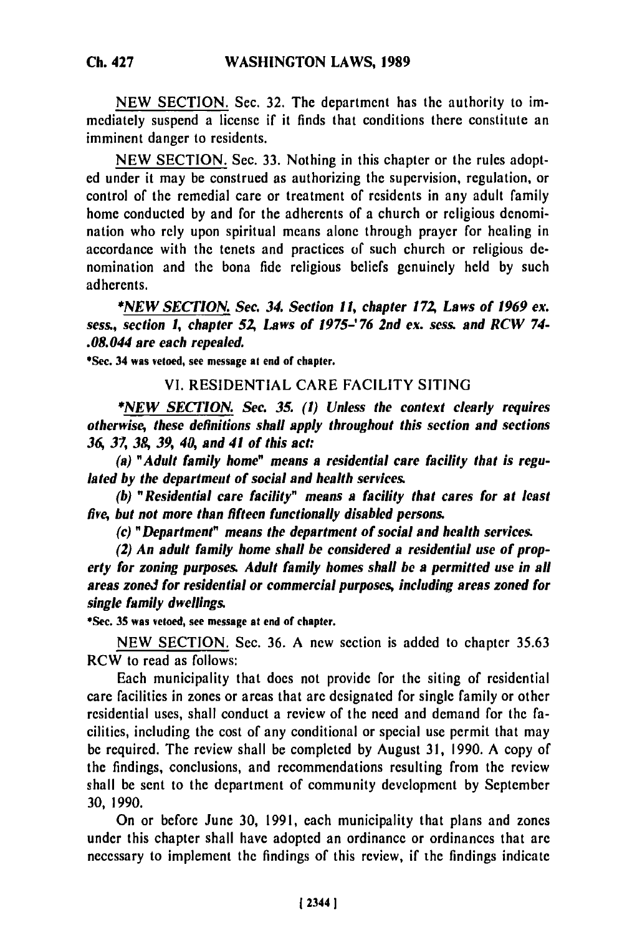NEW SECTION. Sec. **32.** The department has the authority to immediately suspend a license if it finds that conditions there constitute an imminent danger to residents.

NEW SECTION. Sec. **33.** Nothing in this chapter or the rules adopted under it may be construed as authorizing the supervision, regulation, or control of the remedial care or treatment of residents in any adult family home conducted **by** and for the adherents of a church or religious denomination who rely upon spiritual means alone through prayer for healing in accordance with the tenets and practices of such church or religious **de**nomination and the bona fide religious beliefs genuinely held **by** such adherents.

*\*NEW SECTION. Sec. 34. Section 11, chapter 172, Laws of 1969 ex. sess., section 1, chapter 52, Laws of 1975-' 76 2nd ex. sess. and RCW 74- .08.044 are each repealed.*

\*Sec. 34 was vetoed, see message at end of chapter.

## VI. RESIDENTIAL CARE FACILITY **SITING**

**\*NEW** *SECTION. See. 35. (1) Unless the context clearly requires otherwise, these definitions shall apply throughout this section and sections 36, 37, 38, 39, 40, and 41 of this act:*

*(a) "Adult family home" means a residential care facility that is regulated by the department of social and health services.*

*(b) "Residential care facility" means a facility that cares for at least five, hut not more than fifteen functionally disabled persons.*

*(c) "Department" means the department of social and health services.*

*(2) An adult family home shall be considered a residential use of property for zoning purposes. Adult family homes shall be a permitted use in all areas zoneJ for residential or commercial purposes, including areas zoned for single family dwellings.*

\*Sec. **35** was vetoed, see message **at** end **of** chapter.

NEW SECTION. Sec. 36. A new section is added to chapter 35.63 RCW to read as follows:

Each municipality that does not provide for the siting of residential care facilities in zones or areas that are designated for single family or other residential uses, shall conduct a review of the need and demand for the facilities, including the cost of any conditional or special use permit that may be required. The review shall be completed by August 31, 1990. A copy of the findings, conclusions, and recommendations resulting from the review shall be sent to the department of community development by September 30, 1990.

On or before June 30, 1991, each municipality that plans and zones under this chapter shall have adopted an ordinance or ordinances that are necessary to implement the findings of this review, if the findings indicate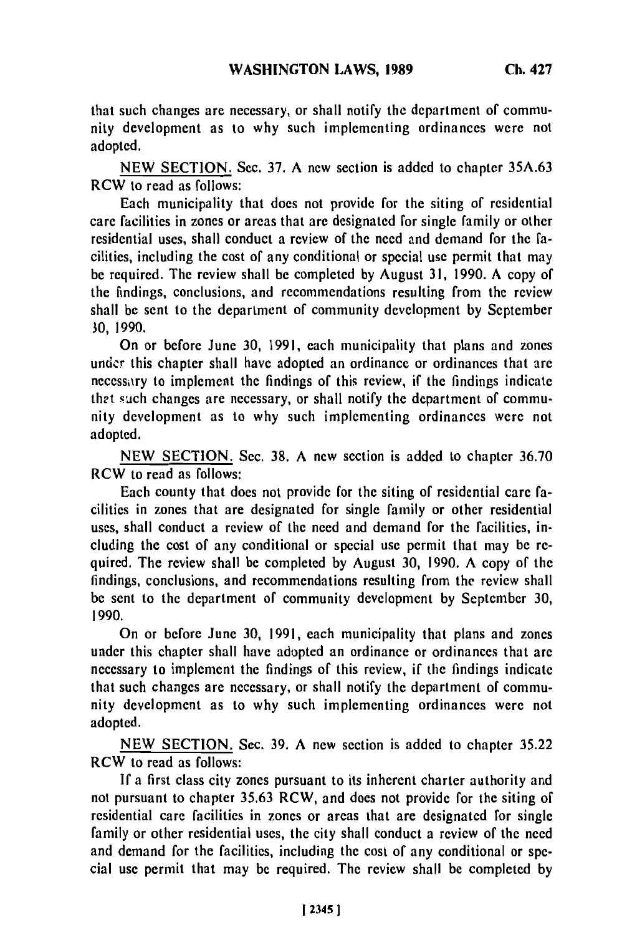that such changes are necessary, or shall notify the department of community development as to why such implementing ordinances were not adopted.

**NEW SECTION.** Sec. **37. A** new section is added to chapter **35A.63** RCW to read as follows:

Each municipality that does not provide for the siting of residential care facilities in zones or areas that are designated for single family or other residential uses, shall conduct a review of the need and demand for the facilities, including the cost of any conditional or special use permit that may be required. The review shall **be** completed **by** August **31, 1990. A** copy of the findings, conclusions, and recommendations resulting from the review shall be sent to the department of community development **by** September **30, 1990.**

On or before June **30, 1991,** each municipality that plans and zones under this chapter shall have adopted an ordinance or ordinances that **are** necessary to implement the findings of this review, if the findings indicate thet such changes are necessary, or shall notify the department of community development as to why such implementing ordinances were not adopted.

**NEW SECTION.** Sec. **38. A** new section is added to chapter **36.70** RCW to read as follows:

Each county that does not provide for the siting of residential care facilities in zones that are designated for single family or other residential uses, shall conduct a review of the need and demand for the facilities, including the cost of any conditional or special use permit that may be required. The review shall be completed **by** August **30, 1990. A** copy of the findings, conclusions, and recommendations resulting from the review shall be sent to the department of community development **by** September **30, 1990.**

On or before June **30, 1991,** each municipality that plans and zones under this chapter shall have adopted an ordinance or ordinances that **are** necessary to implement the findings of this review, if the findings indicate that such changes are necessary, or shall notify the department of community development as to why such implementing ordinances were not adopted.

**NEW SECTION.** Sec. **39. A** new section is added to chapter **35.22** RCW to read as follows:

**If** a first class city zones pursuant to its inherent charter authority and not pursuant to chapter **35.63** RCW, and does not provide for the siting of residential care facilities in zones or areas that are designated for single family or other residential uses, the city shall conduct a review of the need and demand for the facilities, including the cost of any conditional or special use permit that may be required. The review shall be completed **by**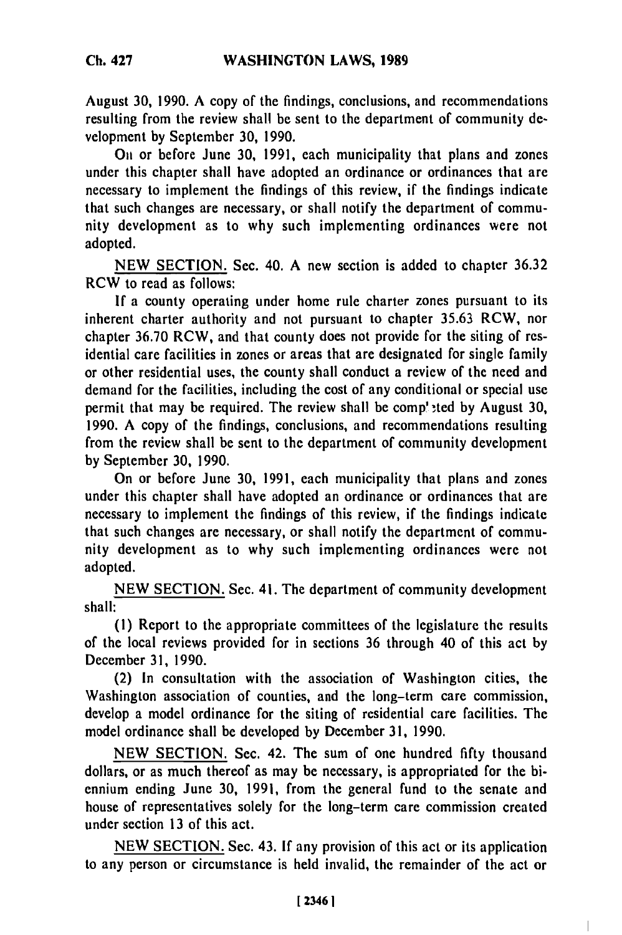August **30, 1990. A** copy of the findings, conclusions, and recommendations resulting from the review shall be sent to the department of community development **by** September **30,** 1990.

**On** or before June **30, 1991,** each municipality that plans and zones under this chapter shall have adopted an ordinance or ordinances that are necessary to implement the findings of this review, if the findings indicate that such changes are necessary, or shall notify the department **of commu**nity development as to why such implementing ordinances were not adopted.

**NEW** SECTION. Sec. 40. A new section is added to chapter **36.32** RCW to read as follows:

**If** a county operating under home rule charter zones pursuant to its inherent charter authority and not pursuant to chapter 35.63 RCW, nor chapter 36.70 RCW, and that county does not provide for the siting of residential care facilities in zones or areas that are designated for single family or other residential uses, the county shall conduct a review of the need and demand for the facilities, including the cost of any conditional or special use permit that may be required. The review shall be comp' -ted **by** August **30,** 1990. A copy of the findings, conclusions, and recommendations resulting from the review shall be sent to the department of community development **by** September **30,** 1990.

On or before June **30, 1991,** each municipality that plans and zones under this chapter shall have adopted an ordinance or ordinances that are necessary to implement the findings of this review, if the findings indicate that such changes are necessary, or shall notify the department of community development as to why such implementing ordinances were not adopted.

**NEW** SECTION. Sec. 41. The department of community development shall:

**(I)** Report to the appropriate committees of the legislature the results of the local reviews provided for in sections **36** through 40 of this act by December **31,** 1990.

(2) In consultation with the association of Washington cities, the Washington association of counties, and the long-term care commission, develop a model ordinance for the siting of residential care facilities. The model ordinance shall be developed **by** December **31,** 1990.

**NEW** SECTION. Sec. 42. The sum of one hundred fifty thousand dollars, or as much thereof as may be necessary, is appropriated for the biennium ending June **30, 1991,** from the general fund to the senate and house of representatives solely for the long-term care commission created under section **13** of this act.

**NEW** SECTION. Sec. 43. If any provision of this act or its application to any person or circumstance is held invalid, the remainder of the act or